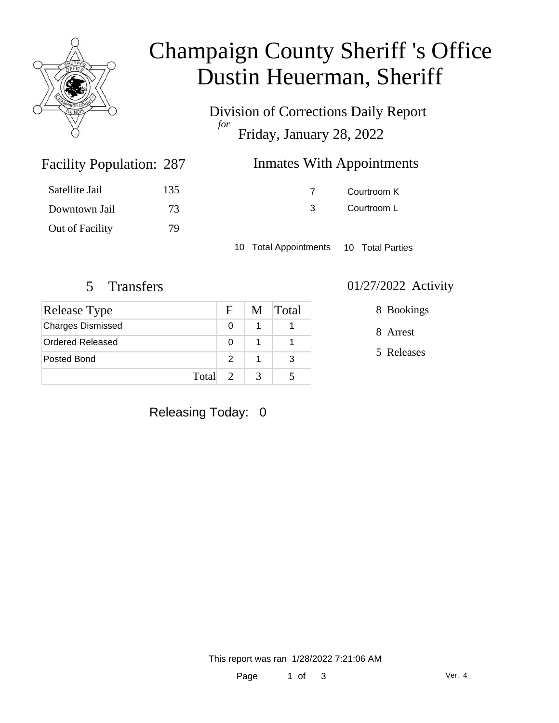

## Champaign County Sheriff 's Office Dustin Heuerman, Sheriff

Division of Corrections Daily Report *for* Friday, January 28, 2022

| 287 | <b>Inmates With Appointments</b> |
|-----|----------------------------------|
|     |                                  |

| Satellite Jail  | 135 |
|-----------------|-----|
| Downtown Jail   | 73  |
| Out of Facility | 79  |

Facility Population: 287

7 Courtroom K 3 Courtroom L

10 Total Appointments 10 Total Parties

| Release Type             | F.            | M | <b>Total</b> |
|--------------------------|---------------|---|--------------|
| <b>Charges Dismissed</b> |               |   |              |
| Ordered Released         |               |   |              |
| Posted Bond              | $\mathcal{P}$ |   |              |
| Total                    | $\mathcal{D}$ | 3 |              |

#### 5 Transfers 01/27/2022 Activity

8 Bookings

8 Arrest

5 Releases

Releasing Today: 0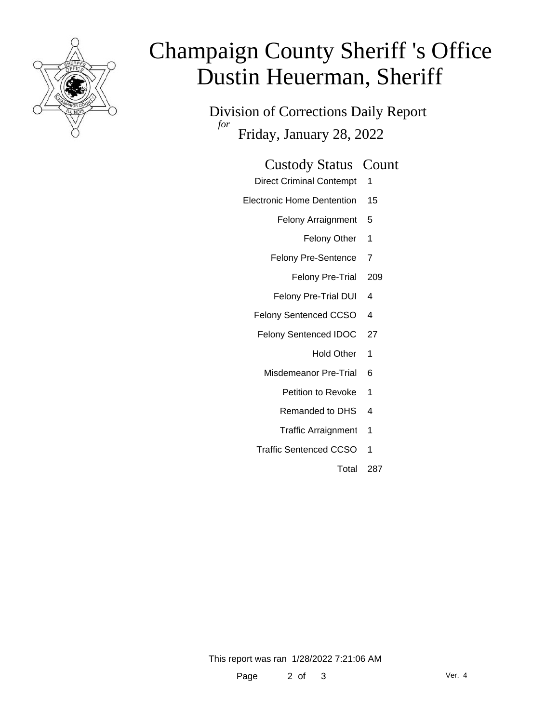

# Champaign County Sheriff 's Office Dustin Heuerman, Sheriff

Division of Corrections Daily Report *for* Friday, January 28, 2022

| <b>Custody Status Count</b> |  |
|-----------------------------|--|
|-----------------------------|--|

- Direct Criminal Contempt 1
- Electronic Home Dentention 15
	- Felony Arraignment 5
		- Felony Other 1
	- Felony Pre-Sentence 7
		- Felony Pre-Trial 209
	- Felony Pre-Trial DUI 4
	- Felony Sentenced CCSO 4
	- Felony Sentenced IDOC 27
		- Hold Other 1
		- Misdemeanor Pre-Trial 6
			- Petition to Revoke 1
			- Remanded to DHS 4
			- Traffic Arraignment 1
	- Traffic Sentenced CCSO 1
		- Total 287

This report was ran 1/28/2022 7:21:06 AM